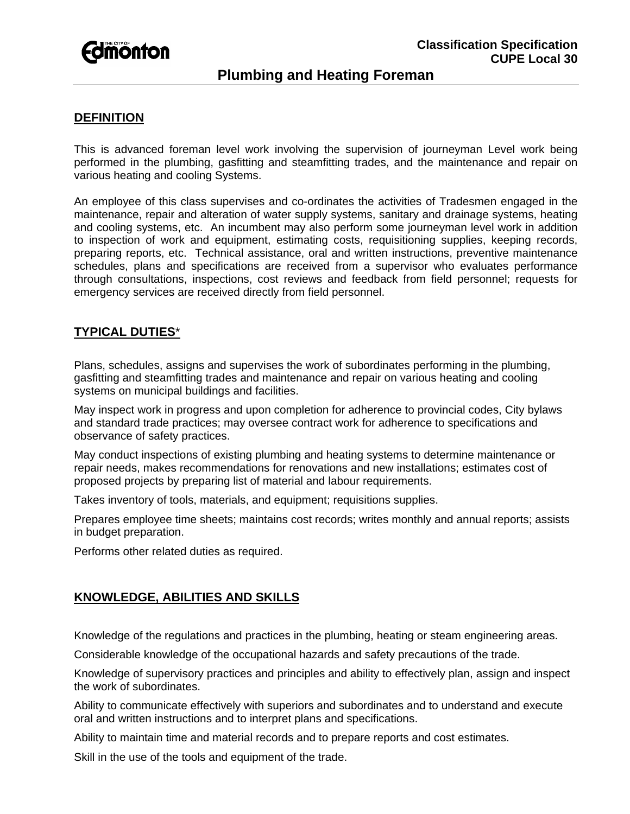

# **Plumbing and Heating Foreman**

## **DEFINITION**

This is advanced foreman level work involving the supervision of journeyman Level work being performed in the plumbing, gasfitting and steamfitting trades, and the maintenance and repair on various heating and cooling Systems.

An employee of this class supervises and co-ordinates the activities of Tradesmen engaged in the maintenance, repair and alteration of water supply systems, sanitary and drainage systems, heating and cooling systems, etc. An incumbent may also perform some journeyman level work in addition to inspection of work and equipment, estimating costs, requisitioning supplies, keeping records, preparing reports, etc. Technical assistance, oral and written instructions, preventive maintenance schedules, plans and specifications are received from a supervisor who evaluates performance through consultations, inspections, cost reviews and feedback from field personnel; requests for emergency services are received directly from field personnel.

## **TYPICAL DUTIES**\*

Plans, schedules, assigns and supervises the work of subordinates performing in the plumbing, gasfitting and steamfitting trades and maintenance and repair on various heating and cooling systems on municipal buildings and facilities.

May inspect work in progress and upon completion for adherence to provincial codes, City bylaws and standard trade practices; may oversee contract work for adherence to specifications and observance of safety practices.

May conduct inspections of existing plumbing and heating systems to determine maintenance or repair needs, makes recommendations for renovations and new installations; estimates cost of proposed projects by preparing list of material and labour requirements.

Takes inventory of tools, materials, and equipment; requisitions supplies.

Prepares employee time sheets; maintains cost records; writes monthly and annual reports; assists in budget preparation.

Performs other related duties as required.

## **KNOWLEDGE, ABILITIES AND SKILLS**

Knowledge of the regulations and practices in the plumbing, heating or steam engineering areas.

Considerable knowledge of the occupational hazards and safety precautions of the trade.

Knowledge of supervisory practices and principles and ability to effectively plan, assign and inspect the work of subordinates.

Ability to communicate effectively with superiors and subordinates and to understand and execute oral and written instructions and to interpret plans and specifications.

Ability to maintain time and material records and to prepare reports and cost estimates.

Skill in the use of the tools and equipment of the trade.